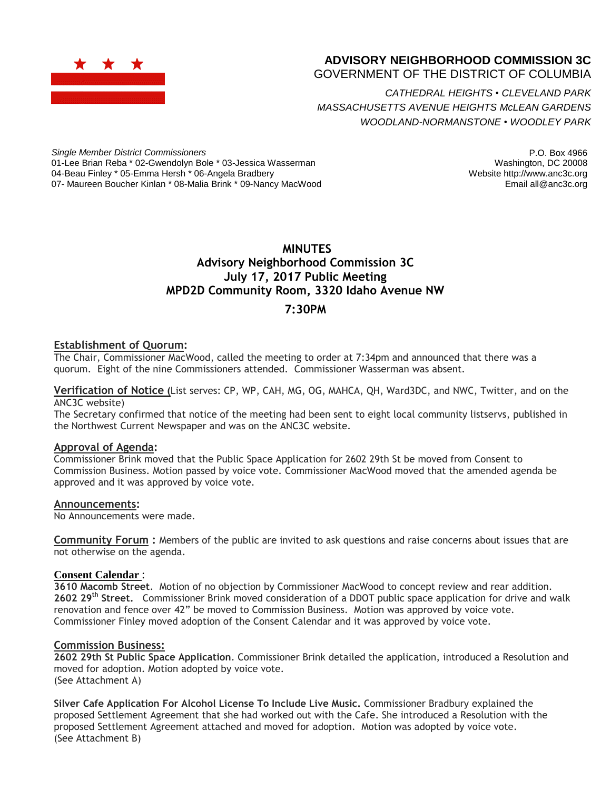

# **ADVISORY NEIGHBORHOOD COMMISSION 3C**

GOVERNMENT OF THE DISTRICT OF COLUMBIA

*CATHEDRAL HEIGHTS* • *CLEVELAND PARK MASSACHUSETTS AVENUE HEIGHTS McLEAN GARDENS WOODLAND-NORMANSTONE* • *WOODLEY PARK*

*Single Member District Commissioners* 01-Lee Brian Reba \* 02-Gwendolyn Bole \* 03-Jessica Wasserman 04-Beau Finley \* 05-Emma Hersh \* 06-Angela Bradbery 07- Maureen Boucher Kinlan \* 08-Malia Brink \* 09-Nancy MacWood

P.O. Box 4966 Washington, DC 20008 Website http://www.anc3c.org Email all@anc3c.org

# **MINUTES Advisory Neighborhood Commission 3C July 17, 2017 Public Meeting MPD2D Community Room, 3320 Idaho Avenue NW**

## **7:30PM**

### **Establishment of Quorum:**

The Chair, Commissioner MacWood, called the meeting to order at 7:34pm and announced that there was a quorum. Eight of the nine Commissioners attended. Commissioner Wasserman was absent.

**Verification of Notice (**List serves: CP, WP, CAH, MG, OG, MAHCA, QH, Ward3DC, and NWC, Twitter, and on the ANC3C website)

The Secretary confirmed that notice of the meeting had been sent to eight local community listservs, published in the Northwest Current Newspaper and was on the ANC3C website.

### **Approval of Agenda:**

Commissioner Brink moved that the Public Space Application for 2602 29th St be moved from Consent to Commission Business. Motion passed by voice vote. Commissioner MacWood moved that the amended agenda be approved and it was approved by voice vote.

#### **Announcements:**

No Announcements were made.

**Community Forum :** Members of the public are invited to ask questions and raise concerns about issues that are not otherwise on the agenda.

### **Consent Calendar** :

**3610 Macomb Street**. Motion of no objection by Commissioner MacWood to concept review and rear addition. **2602 29th Street.** Commissioner Brink moved consideration of a DDOT public space application for drive and walk renovation and fence over 42" be moved to Commission Business. Motion was approved by voice vote. Commissioner Finley moved adoption of the Consent Calendar and it was approved by voice vote.

### **Commission Business:**

**2602 29th St Public Space Application**. Commissioner Brink detailed the application, introduced a Resolution and moved for adoption. Motion adopted by voice vote. (See Attachment A)

**Silver Cafe Application For Alcohol License To Include Live Music.** Commissioner Bradbury explained the proposed Settlement Agreement that she had worked out with the Cafe. She introduced a Resolution with the proposed Settlement Agreement attached and moved for adoption. Motion was adopted by voice vote. (See Attachment B)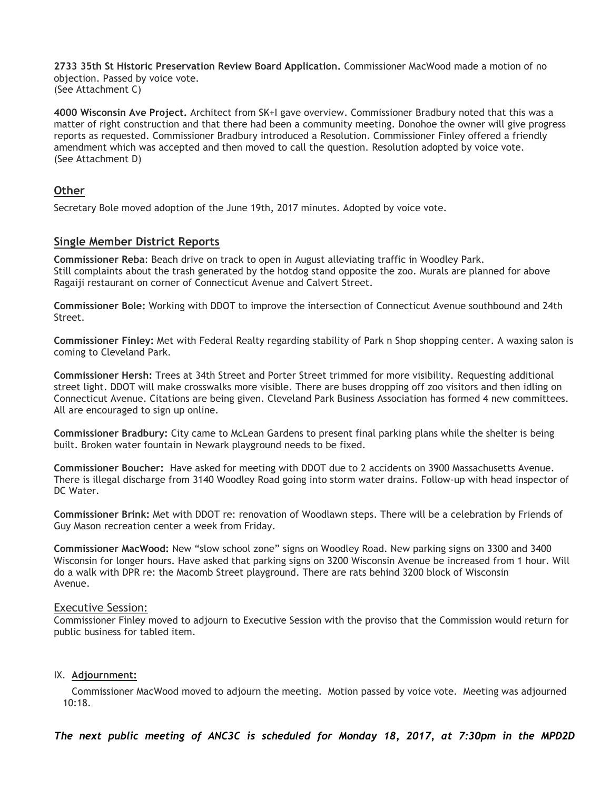**2733 35th St Historic Preservation Review Board Application.** Commissioner MacWood made a motion of no objection. Passed by voice vote. (See Attachment C)

**4000 Wisconsin Ave Project.** Architect from SK+I gave overview. Commissioner Bradbury noted that this was a matter of right construction and that there had been a community meeting. Donohoe the owner will give progress reports as requested. Commissioner Bradbury introduced a Resolution. Commissioner Finley offered a friendly amendment which was accepted and then moved to call the question. Resolution adopted by voice vote. (See Attachment D)

### **Other**

Secretary Bole moved adoption of the June 19th, 2017 minutes. Adopted by voice vote.

### **Single Member District Reports**

**Commissioner Reba**: Beach drive on track to open in August alleviating traffic in Woodley Park. Still complaints about the trash generated by the hotdog stand opposite the zoo. Murals are planned for above Ragaiji restaurant on corner of Connecticut Avenue and Calvert Street.

**Commissioner Bole:** Working with DDOT to improve the intersection of Connecticut Avenue southbound and 24th Street.

**Commissioner Finley:** Met with Federal Realty regarding stability of Park n Shop shopping center. A waxing salon is coming to Cleveland Park.

**Commissioner Hersh:** Trees at 34th Street and Porter Street trimmed for more visibility. Requesting additional street light. DDOT will make crosswalks more visible. There are buses dropping off zoo visitors and then idling on Connecticut Avenue. Citations are being given. Cleveland Park Business Association has formed 4 new committees. All are encouraged to sign up online.

**Commissioner Bradbury:** City came to McLean Gardens to present final parking plans while the shelter is being built. Broken water fountain in Newark playground needs to be fixed.

**Commissioner Boucher:** Have asked for meeting with DDOT due to 2 accidents on 3900 Massachusetts Avenue. There is illegal discharge from 3140 Woodley Road going into storm water drains. Follow-up with head inspector of DC Water.

**Commissioner Brink:** Met with DDOT re: renovation of Woodlawn steps. There will be a celebration by Friends of Guy Mason recreation center a week from Friday.

**Commissioner MacWood:** New "slow school zone" signs on Woodley Road. New parking signs on 3300 and 3400 Wisconsin for longer hours. Have asked that parking signs on 3200 Wisconsin Avenue be increased from 1 hour. Will do a walk with DPR re: the Macomb Street playground. There are rats behind 3200 block of Wisconsin Avenue.

### Executive Session:

Commissioner Finley moved to adjourn to Executive Session with the proviso that the Commission would return for public business for tabled item.

### IX. **Adjournment:**

 Commissioner MacWood moved to adjourn the meeting. Motion passed by voice vote. Meeting was adjourned 10:18.

*The next public meeting of ANC3C is scheduled for Monday 18, 2017, at 7:30pm in the MPD2D*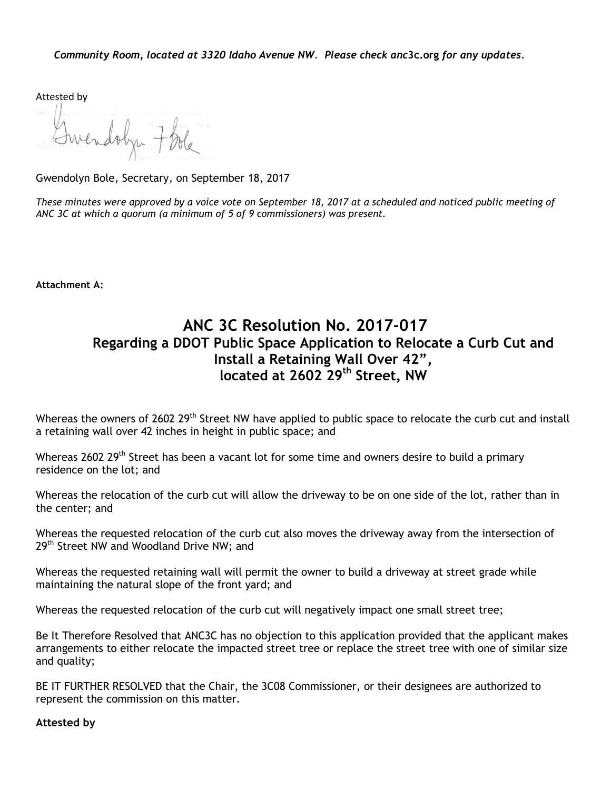Attested by

Gwendolyn Bole, Secretary, on September 18, 2017

These minutes were approved by a voice vote on September 18, 2017 at a scheduled and noticed public meeting of *ANC 3C at which a quorum (a minimum of 5 of 9 commissioners) was present.*

**Attachment A:**

# **ANC 3C Resolution No. 2017-017 Regarding a DDOT Public Space Application to Relocate a Curb Cut and Install a Retaining Wall Over 42", located at 2602 29th Street, NW**

Whereas the owners of 2602 29<sup>th</sup> Street NW have applied to public space to relocate the curb cut and install a retaining wall over 42 inches in height in public space; and

Whereas 2602 29<sup>th</sup> Street has been a vacant lot for some time and owners desire to build a primary residence on the lot; and

Whereas the relocation of the curb cut will allow the driveway to be on one side of the lot, rather than in the center; and

Whereas the requested relocation of the curb cut also moves the driveway away from the intersection of 29<sup>th</sup> Street NW and Woodland Drive NW; and

Whereas the requested retaining wall will permit the owner to build a driveway at street grade while maintaining the natural slope of the front yard; and

Whereas the requested relocation of the curb cut will negatively impact one small street tree;

Be It Therefore Resolved that ANC3C has no objection to this application provided that the applicant makes arrangements to either relocate the impacted street tree or replace the street tree with one of similar size and quality;

BE IT FURTHER RESOLVED that the Chair, the 3C08 Commissioner, or their designees are authorized to represent the commission on this matter.

**Attested by**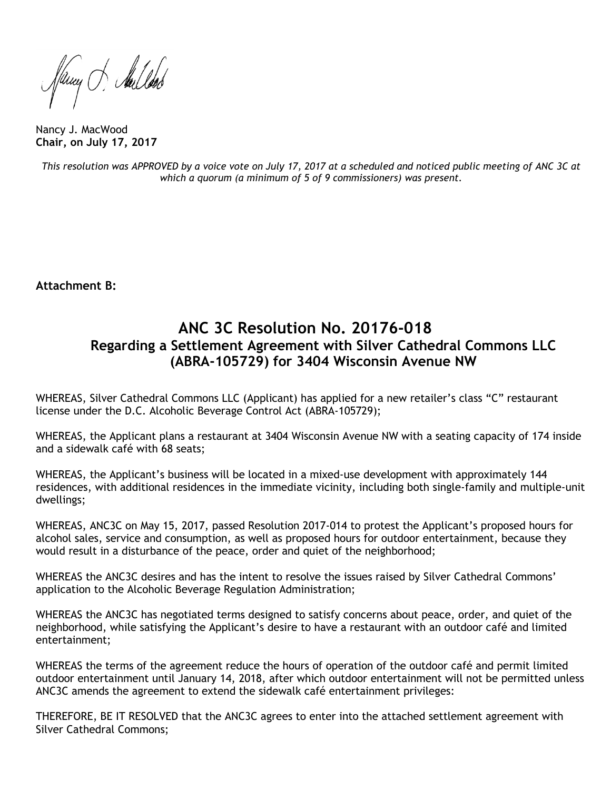Juny S. Aullood

Nancy J. MacWood **Chair, on July 17, 2017**

This resolution was APPROVED by a voice vote on July 17, 2017 at a scheduled and noticed public meeting of ANC 3C at *which a quorum (a minimum of 5 of 9 commissioners) was present.*

**Attachment B:**

# **ANC 3C Resolution No. 20176-018 Regarding a Settlement Agreement with Silver Cathedral Commons LLC (ABRA-105729) for 3404 Wisconsin Avenue NW**

WHEREAS, Silver Cathedral Commons LLC (Applicant) has applied for a new retailer's class "C" restaurant license under the D.C. Alcoholic Beverage Control Act (ABRA-105729);

WHEREAS, the Applicant plans a restaurant at 3404 Wisconsin Avenue NW with a seating capacity of 174 inside and a sidewalk café with 68 seats;

WHEREAS, the Applicant's business will be located in a mixed-use development with approximately 144 residences, with additional residences in the immediate vicinity, including both single-family and multiple-unit dwellings;

WHEREAS, ANC3C on May 15, 2017, passed Resolution 2017-014 to protest the Applicant's proposed hours for alcohol sales, service and consumption, as well as proposed hours for outdoor entertainment, because they would result in a disturbance of the peace, order and quiet of the neighborhood;

WHEREAS the ANC3C desires and has the intent to resolve the issues raised by Silver Cathedral Commons' application to the Alcoholic Beverage Regulation Administration;

WHEREAS the ANC3C has negotiated terms designed to satisfy concerns about peace, order, and quiet of the neighborhood, while satisfying the Applicant's desire to have a restaurant with an outdoor café and limited entertainment;

WHEREAS the terms of the agreement reduce the hours of operation of the outdoor café and permit limited outdoor entertainment until January 14, 2018, after which outdoor entertainment will not be permitted unless ANC3C amends the agreement to extend the sidewalk café entertainment privileges:

THEREFORE, BE IT RESOLVED that the ANC3C agrees to enter into the attached settlement agreement with Silver Cathedral Commons;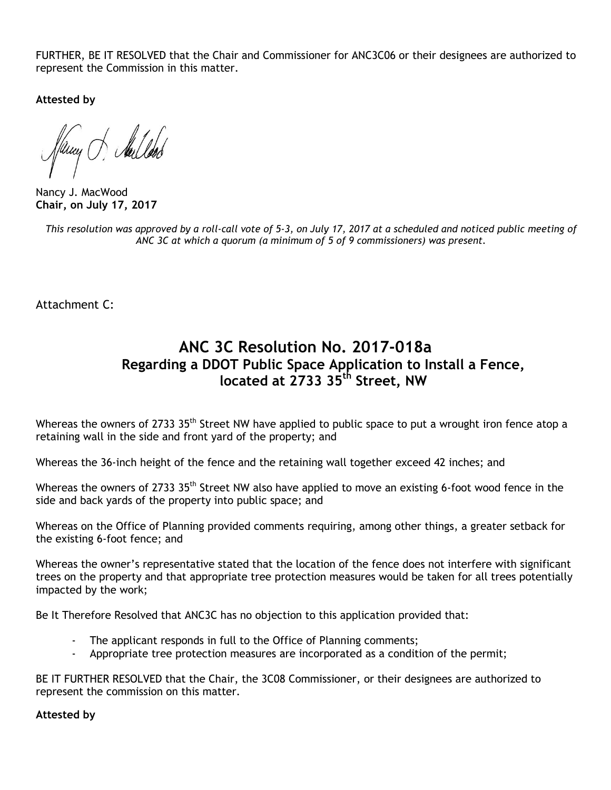FURTHER, BE IT RESOLVED that the Chair and Commissioner for ANC3C06 or their designees are authorized to represent the Commission in this matter.

**Attested by**

any of Aules

Nancy J. MacWood **Chair, on July 17, 2017**

This resolution was approved by a roll-call vote of 5-3, on July 17, 2017 at a scheduled and noticed public meeting of *ANC 3C at which a quorum (a minimum of 5 of 9 commissioners) was present.*

Attachment C:

# **ANC 3C Resolution No. 2017-018a Regarding a DDOT Public Space Application to Install a Fence, located at 2733 35th Street, NW**

Whereas the owners of 2733 35<sup>th</sup> Street NW have applied to public space to put a wrought iron fence atop a retaining wall in the side and front yard of the property; and

Whereas the 36-inch height of the fence and the retaining wall together exceed 42 inches; and

Whereas the owners of 2733 35<sup>th</sup> Street NW also have applied to move an existing 6-foot wood fence in the side and back yards of the property into public space; and

Whereas on the Office of Planning provided comments requiring, among other things, a greater setback for the existing 6-foot fence; and

Whereas the owner's representative stated that the location of the fence does not interfere with significant trees on the property and that appropriate tree protection measures would be taken for all trees potentially impacted by the work;

Be It Therefore Resolved that ANC3C has no objection to this application provided that:

- The applicant responds in full to the Office of Planning comments;
- Appropriate tree protection measures are incorporated as a condition of the permit;

BE IT FURTHER RESOLVED that the Chair, the 3C08 Commissioner, or their designees are authorized to represent the commission on this matter.

**Attested by**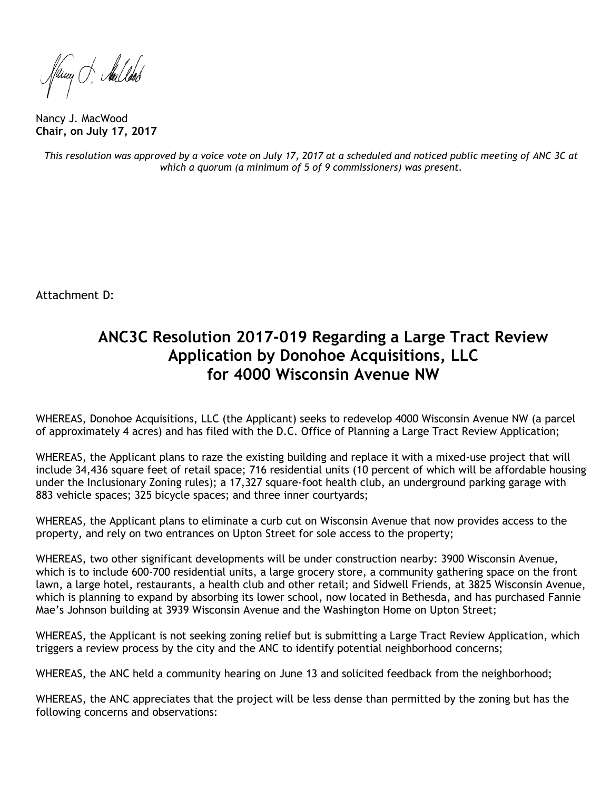fleury of Aulbook

Nancy J. MacWood **Chair, on July 17, 2017**

This resolution was approved by a voice vote on July 17, 2017 at a scheduled and noticed public meeting of ANC 3C at *which a quorum (a minimum of 5 of 9 commissioners) was present.*

Attachment D:

# **ANC3C Resolution 2017-019 Regarding a Large Tract Review Application by Donohoe Acquisitions, LLC for 4000 Wisconsin Avenue NW**

WHEREAS, Donohoe Acquisitions, LLC (the Applicant) seeks to redevelop 4000 Wisconsin Avenue NW (a parcel of approximately 4 acres) and has filed with the D.C. Office of Planning a Large Tract Review Application;

WHEREAS, the Applicant plans to raze the existing building and replace it with a mixed-use project that will include 34,436 square feet of retail space; 716 residential units (10 percent of which will be affordable housing under the Inclusionary Zoning rules); a 17,327 square-foot health club, an underground parking garage with 883 vehicle spaces; 325 bicycle spaces; and three inner courtyards;

WHEREAS, the Applicant plans to eliminate a curb cut on Wisconsin Avenue that now provides access to the property, and rely on two entrances on Upton Street for sole access to the property;

WHEREAS, two other significant developments will be under construction nearby: 3900 Wisconsin Avenue, which is to include 600-700 residential units, a large grocery store, a community gathering space on the front lawn, a large hotel, restaurants, a health club and other retail; and Sidwell Friends, at 3825 Wisconsin Avenue, which is planning to expand by absorbing its lower school, now located in Bethesda, and has purchased Fannie Mae's Johnson building at 3939 Wisconsin Avenue and the Washington Home on Upton Street;

WHEREAS, the Applicant is not seeking zoning relief but is submitting a Large Tract Review Application, which triggers a review process by the city and the ANC to identify potential neighborhood concerns;

WHEREAS, the ANC held a community hearing on June 13 and solicited feedback from the neighborhood;

WHEREAS, the ANC appreciates that the project will be less dense than permitted by the zoning but has the following concerns and observations: